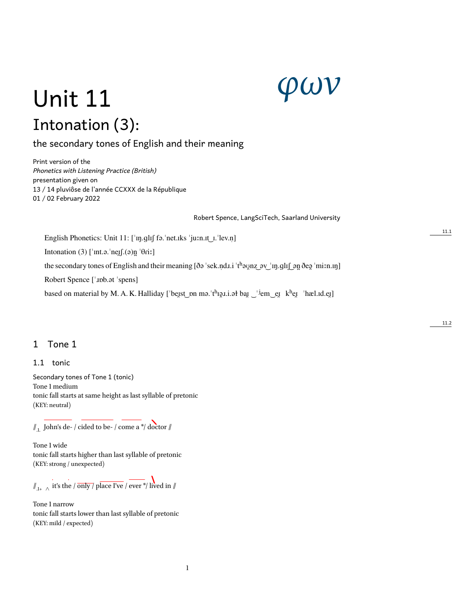# *φων*

# Unit 11 Intonation (3):

the secondary tones of English and their meaning

Print version of the *Phonetics with Listening Practice (British)* presentation given on 13 / 14 pluviôse de l'année CCXXX de la République 01 / 02 February 2022

Robert Spence, LangSciTech, Saarland University

English Phonetics: Unit 11: ['ɪŋ.ɡlɪʃ fə.'net.ɪks 'juːn.ɪt\_ɪ.'lev.n]

Intonation (3)  $[\text{Int.5} \cdot \text{neg}](\phi)$ n<sup>{</sup> $\theta$ riː]

the secondary tones of English and their meaning  $\delta \phi$  'sek.nd.i 'thous  $\phi$ ' in.glif on  $\delta \phi$ ' mi:n.n|

Robert Spence [ˈɹɒb.ət ˈspens]

based on material by M. A. K. Halliday ['beɪ̯st\_pn mə.'thɪə̯ɪ.i.ət baɪ̯ \_'<sup>j</sup>em er kher 'hæl.ɪd.er]

# 1 Tone 1

#### 1.1 tonic

Secondary tones of Tone 1 (tonic) Tone 1 medium tonic fall starts at same height as last syllable of pretonic (KEY: neutral)

 $\parallel$ <sub>1</sub> John's de- / cided to be- / come a \*/ doctor  $\parallel$ 

Tone 1 wide tonic fall starts higher than last syllable of pretonic (KEY: strong / unexpected)

//.1+ *<sup>∧</sup>* it's the / only / place I've / ever \*/ lived in //

Tone 1 narrow tonic fall starts lower than last syllable of pretonic (KEY: mild / expected)

11.1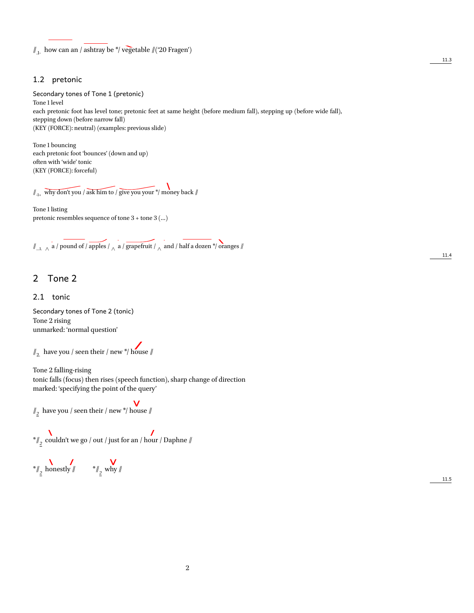$/\!\!/_{1}$ - how can an / ashtray be \*/ vegetable  $/$ ('20 Fragen')

#### 1.2 pretonic

Secondary tones of Tone 1 (pretonic) Tone 1 level each pretonic foot has level tone; pretonic feet at same height (before medium fall), stepping up (before wide fall), stepping down (before narrow fall) (KEY (FORCE): neutral) (examples: previous slide)

Tone 1 bouncing each pretonic foot 'bounces' (down and up) often with 'wide' tonic (KEY (FORCE): forceful)

 $\mathcal{U}_{1+}$  why don't you / ask him to / give you your \*/ money back  $\mathcal{U}$ 

Tone 1 listing pretonic resembles sequence of tone  $3$  + tone  $3$   $(\ldots)$ 

//…1. *<sup>∧</sup>* <sup>a</sup> / pound of / apples / *<sup>∧</sup>* <sup>a</sup> / grapefruit / *<sup>∧</sup>* and / half a dozen \*/ oranges //

# 2 Tone 2

#### 2.1 tonic

Secondary tones of Tone 2 (tonic) Tone 2 rising unmarked: 'normal question'

 $\mathcal{U}_2$  have you / seen their / new \*/ house  $\mathcal{U}_2$ 

Tone 2 falling-rising tonic falls (focus) then rises (speech function), sharp change of direction marked: 'specifying the point of the query'

 $\mathbb{Z}_{2}^{\prime}$  have you / seen their / new  $\mathbb{\H}^{\prime}$  house  $\mathbb{Z}^{\prime}$ 

\*//*ᇞ* couldn't we go / out / just for an / hour / Daphne //

\*/<sub>/2</sub> honestly // \*//<sub>2</sub> why //

11.4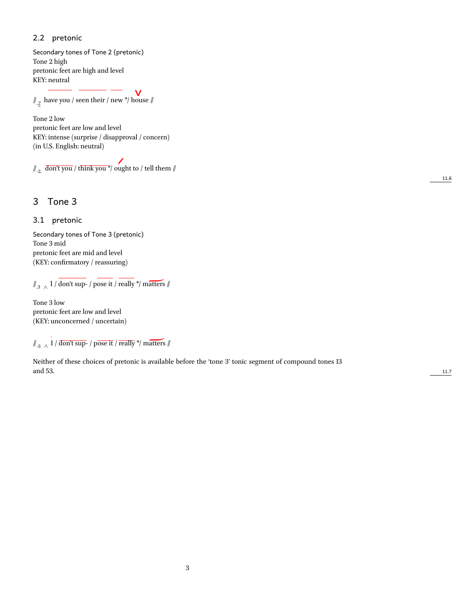#### 2.2 pretonic

Secondary tones of Tone 2 (pretonic) Tone 2 high pretonic feet are high and level KEY: neutral

 $\mathbf{V}$  $\mathcal{U}_{1,2}^{\perp}$  have you / seen their / new  $\mathcal{\text{*}}$ / house  $\mathcal{U}$ 

Tone 2 low pretonic feet are low and level KEY: intense (surprise / disapproval / concern) (in U.S. English: neutral)

- -Ξ.

 $/\!\!/_{\scriptscriptstyle +2.}$ don't you / think you \*/ ought to / tell them //

# 3 Tone 3

3.1 pretonic

Secondary tones of Tone 3 (pretonic) Tone 3 mid pretonic feet are mid and level (KEY: confirmatory / reassuring)

//.3 *<sup>∧</sup>* I / don't sup- / pose it / really \*/ matters //

Tone 3 low pretonic feet are low and level (KEY: unconcerned / uncertain)

//-3 *<sup>∧</sup>* I / don't sup- / pose it / really \*/ matters //

Neither of these choices of pretonic is available before the 'tone 3' tonic segment of compound tones 13 and 53. 11.7

11.6